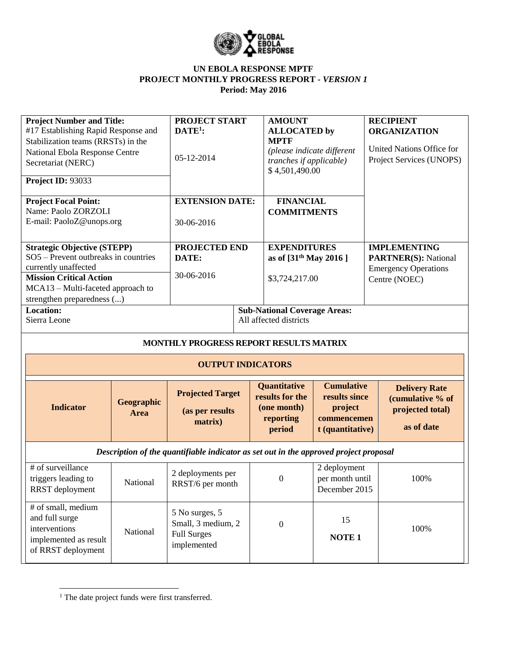

| <b>Project Number and Title:</b><br>#17 Establishing Rapid Response and<br>Stabilization teams (RRSTs) in the<br>National Ebola Response Centre<br>Secretariat (NERC)<br>Project ID: 93033              |                    | PROJECT START<br>$DATE1$ :<br>05-12-2014                                              | <b>AMOUNT</b><br><b>ALLOCATED</b> by<br><b>MPTF</b><br>(please indicate different<br>tranches if applicable)<br>\$4,501,490.00 |                                                                                  | <b>RECIPIENT</b><br><b>ORGANIZATION</b><br>United Nations Office for<br>Project Services (UNOPS)   |
|---------------------------------------------------------------------------------------------------------------------------------------------------------------------------------------------------------|--------------------|---------------------------------------------------------------------------------------|--------------------------------------------------------------------------------------------------------------------------------|----------------------------------------------------------------------------------|----------------------------------------------------------------------------------------------------|
| <b>Project Focal Point:</b><br>Name: Paolo ZORZOLI<br>E-mail: PaoloZ@unops.org                                                                                                                          |                    | <b>EXTENSION DATE:</b><br>30-06-2016                                                  | <b>FINANCIAL</b><br><b>COMMITMENTS</b>                                                                                         |                                                                                  |                                                                                                    |
| <b>Strategic Objective (STEPP)</b><br>SO5 - Prevent outbreaks in countries<br>currently unaffected<br><b>Mission Critical Action</b><br>MCA13 – Multi-faceted approach to<br>strengthen preparedness () |                    | PROJECTED END<br>DATE:<br>30-06-2016                                                  | <b>EXPENDITURES</b><br>as of $[31^{th}$ May 2016 ]<br>\$3,724,217.00                                                           |                                                                                  | <b>IMPLEMENTING</b><br><b>PARTNER(S): National</b><br><b>Emergency Operations</b><br>Centre (NOEC) |
| <b>Location:</b><br>Sierra Leone                                                                                                                                                                        |                    |                                                                                       | <b>Sub-National Coverage Areas:</b><br>All affected districts                                                                  |                                                                                  |                                                                                                    |
|                                                                                                                                                                                                         |                    | MONTHLY PROGRESS REPORT RESULTS MATRIX<br><b>OUTPUT INDICATORS</b>                    |                                                                                                                                |                                                                                  |                                                                                                    |
| <b>Indicator</b>                                                                                                                                                                                        | Geographic<br>Area | <b>Projected Target</b><br>(as per results<br>matrix)                                 | Quantitative<br>results for the<br>(one month)<br>reporting<br>period                                                          | <b>Cumulative</b><br>results since<br>project<br>commencemen<br>t (quantitative) | <b>Delivery Rate</b><br>(cumulative % of<br>projected total)<br>as of date                         |
|                                                                                                                                                                                                         |                    | Description of the quantifiable indicator as set out in the approved project proposal |                                                                                                                                |                                                                                  |                                                                                                    |
| # of surveillance<br>triggers leading to                                                                                                                                                                |                    | 2 deployments per                                                                     | $\boldsymbol{0}$                                                                                                               | 2 deployment<br>per month until                                                  | 100%                                                                                               |
| RRST deployment                                                                                                                                                                                         | National           | RRST/6 per month                                                                      |                                                                                                                                | December 2015                                                                    |                                                                                                    |

<sup>&</sup>lt;sup>1</sup> The date project funds were first transferred.

 $\overline{\phantom{a}}$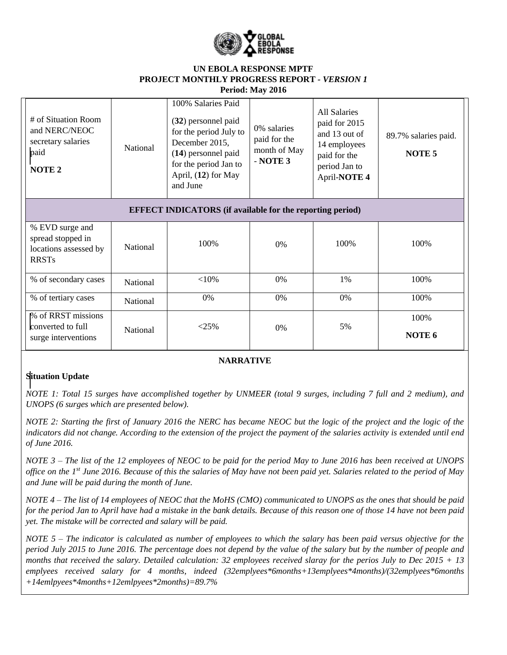

| # of Situation Room<br>and NERC/NEOC<br>secretary salaries<br>paid<br><b>NOTE 2</b> | National        | 100% Salaries Paid<br>(32) personnel paid<br>for the period July to<br>December 2015,<br>(14) personnel paid<br>for the period Jan to<br>April, (12) for May<br>and June | 0% salaries<br>paid for the<br>month of May<br>$-$ NOTE 3 | <b>All Salaries</b><br>paid for 2015<br>and 13 out of<br>14 employees<br>paid for the<br>period Jan to<br>April-NOTE 4 | 89.7% salaries paid.<br>NOTE <sub>5</sub> |
|-------------------------------------------------------------------------------------|-----------------|--------------------------------------------------------------------------------------------------------------------------------------------------------------------------|-----------------------------------------------------------|------------------------------------------------------------------------------------------------------------------------|-------------------------------------------|
|                                                                                     |                 | <b>EFFECT INDICATORS</b> (if available for the reporting period)                                                                                                         |                                                           |                                                                                                                        |                                           |
| % EVD surge and<br>spread stopped in<br>locations assessed by<br><b>RRSTs</b>       | <b>National</b> | 100%                                                                                                                                                                     | 0%                                                        | 100%                                                                                                                   | 100%                                      |
| % of secondary cases                                                                | National        | ${<}10\%$                                                                                                                                                                | 0%                                                        | 1%                                                                                                                     | 100%                                      |
| % of tertiary cases                                                                 | <b>National</b> | 0%                                                                                                                                                                       | 0%                                                        | 0%                                                                                                                     | 100%                                      |
| % of RRST missions<br>converted to full<br>surge interventions                      | National        | <25%                                                                                                                                                                     | 0%                                                        | 5%                                                                                                                     | 100%<br>NOTE 6                            |

#### **NARRATIVE**

## **Situation Update**

*NOTE 1: Total 15 surges have accomplished together by UNMEER (total 9 surges, including 7 full and 2 medium), and UNOPS (6 surges which are presented below).* 

*NOTE 2: Starting the first of January 2016 the NERC has became NEOC but the logic of the project and the logic of the indicators did not change. According to the extension of the project the payment of the salaries activity is extended until end of June 2016.*

*NOTE 3 – The list of the 12 employees of NEOC to be paid for the period May to June 2016 has been received at UNOPS office on the 1st June 2016. Because of this the salaries of May have not been paid yet. Salaries related to the period of May and June will be paid during the month of June.*

*NOTE 4 – The list of 14 employees of NEOC that the MoHS (CMO) communicated to UNOPS as the ones that should be paid for the period Jan to April have had a mistake in the bank details. Because of this reason one of those 14 have not been paid yet. The mistake will be corrected and salary will be paid.*

*NOTE 5 – The indicator is calculated as number of employees to which the salary has been paid versus objective for the period July 2015 to June 2016. The percentage does not depend by the value of the salary but by the number of people and months that received the salary. Detailed calculation: 32 employees received slaray for the perios July to Dec 2015 + 13 emplyees received salary for 4 months, indeed (32emplyees\*6months+13emplyees\*4months)/(32emplyees\*6months +14emlpyees\*4months+12emlpyees\*2months)=89.7%*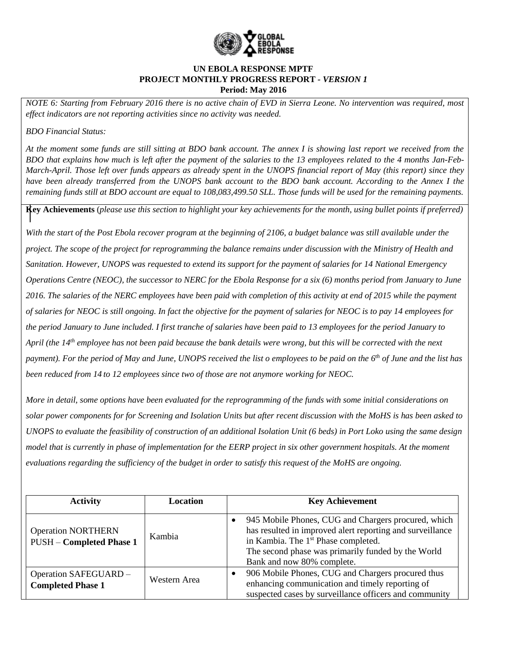

*NOTE 6: Starting from February 2016 there is no active chain of EVD in Sierra Leone. No intervention was required, most effect indicators are not reporting activities since no activity was needed.* 

*BDO Financial Status:*

*At the moment some funds are still sitting at BDO bank account. The annex I is showing last report we received from the BDO that explains how much is left after the payment of the salaries to the 13 employees related to the 4 months Jan-Feb-March-April. Those left over funds appears as already spent in the UNOPS financial report of May (this report) since they have been already transferred from the UNOPS bank account to the BDO bank account. According to the Annex I the remaining funds still at BDO account are equal to 108,083,499.50 SLL. Those funds will be used for the remaining payments.*

**Key Achievements** (*please use this section to highlight your key achievements for the month, using bullet points if preferred)*

*With the start of the Post Ebola recover program at the beginning of 2106, a budget balance was still available under the project. The scope of the project for reprogramming the balance remains under discussion with the Ministry of Health and Sanitation. However, UNOPS was requested to extend its support for the payment of salaries for 14 National Emergency Operations Centre (NEOC), the successor to NERC for the Ebola Response for a six (6) months period from January to June 2016. The salaries of the NERC employees have been paid with completion of this activity at end of 2015 while the payment of salaries for NEOC is still ongoing. In fact the objective for the payment of salaries for NEOC is to pay 14 employees for the period January to June included. I first tranche of salaries have been paid to 13 employees for the period January to April (the 14th employee has not been paid because the bank details were wrong, but this will be corrected with the next payment). For the period of May and June, UNOPS received the list o employees to be paid on the 6th of June and the list has been reduced from 14 to 12 employees since two of those are not anymore working for NEOC.*

*More in detail, some options have been evaluated for the reprogramming of the funds with some initial considerations on solar power components for for Screening and Isolation Units but after recent discussion with the MoHS is has been asked to UNOPS to evaluate the feasibility of construction of an additional Isolation Unit (6 beds) in Port Loko using the same design model that is currently in phase of implementation for the EERP project in six other government hospitals. At the moment evaluations regarding the sufficiency of the budget in order to satisfy this request of the MoHS are ongoing.*

| <b>Activity</b>                                              | Location     | <b>Key Achievement</b>                                                                                                                                                                                                                                  |
|--------------------------------------------------------------|--------------|---------------------------------------------------------------------------------------------------------------------------------------------------------------------------------------------------------------------------------------------------------|
| <b>Operation NORTHERN</b><br><b>PUSH - Completed Phase 1</b> | Kambia       | 945 Mobile Phones, CUG and Chargers procured, which<br>has resulted in improved alert reporting and surveillance<br>in Kambia. The 1 <sup>st</sup> Phase completed.<br>The second phase was primarily funded by the World<br>Bank and now 80% complete. |
| Operation SAFEGUARD -<br><b>Completed Phase 1</b>            | Western Area | 906 Mobile Phones, CUG and Chargers procured thus<br>enhancing communication and timely reporting of<br>suspected cases by surveillance officers and community                                                                                          |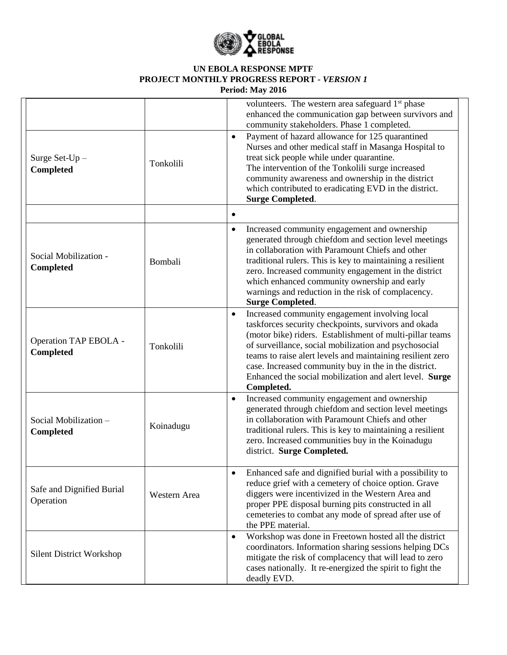

| Surge Set- $Up -$<br>Completed         | Tonkolili    | volunteers. The western area safeguard 1 <sup>st</sup> phase<br>enhanced the communication gap between survivors and<br>community stakeholders. Phase 1 completed.<br>Payment of hazard allowance for 125 quarantined<br>$\bullet$<br>Nurses and other medical staff in Masanga Hospital to<br>treat sick people while under quarantine.<br>The intervention of the Tonkolili surge increased<br>community awareness and ownership in the district<br>which contributed to eradicating EVD in the district.<br><b>Surge Completed.</b> |
|----------------------------------------|--------------|----------------------------------------------------------------------------------------------------------------------------------------------------------------------------------------------------------------------------------------------------------------------------------------------------------------------------------------------------------------------------------------------------------------------------------------------------------------------------------------------------------------------------------------|
|                                        |              |                                                                                                                                                                                                                                                                                                                                                                                                                                                                                                                                        |
| Social Mobilization -<br>Completed     | Bombali      | Increased community engagement and ownership<br>$\bullet$<br>generated through chiefdom and section level meetings<br>in collaboration with Paramount Chiefs and other<br>traditional rulers. This is key to maintaining a resilient<br>zero. Increased community engagement in the district<br>which enhanced community ownership and early<br>warnings and reduction in the risk of complacency.<br><b>Surge Completed.</b>                                                                                                          |
| Operation TAP EBOLA -<br>Completed     | Tonkolili    | Increased community engagement involving local<br>$\bullet$<br>taskforces security checkpoints, survivors and okada<br>(motor bike) riders. Establishment of multi-pillar teams<br>of surveillance, social mobilization and psychosocial<br>teams to raise alert levels and maintaining resilient zero<br>case. Increased community buy in the in the district.<br>Enhanced the social mobilization and alert level. Surge<br>Completed.                                                                                               |
| Social Mobilization-<br>Completed      | Koinadugu    | Increased community engagement and ownership<br>$\bullet$<br>generated through chiefdom and section level meetings<br>in collaboration with Paramount Chiefs and other<br>traditional rulers. This is key to maintaining a resilient<br>zero. Increased communities buy in the Koinadugu<br>district. Surge Completed.                                                                                                                                                                                                                 |
| Safe and Dignified Burial<br>Operation | Western Area | Enhanced safe and dignified burial with a possibility to<br>$\bullet$<br>reduce grief with a cemetery of choice option. Grave<br>diggers were incentivized in the Western Area and<br>proper PPE disposal burning pits constructed in all<br>cemeteries to combat any mode of spread after use of<br>the PPE material.                                                                                                                                                                                                                 |
| <b>Silent District Workshop</b>        |              | Workshop was done in Freetown hosted all the district<br>$\bullet$<br>coordinators. Information sharing sessions helping DCs<br>mitigate the risk of complacency that will lead to zero<br>cases nationally. It re-energized the spirit to fight the<br>deadly EVD.                                                                                                                                                                                                                                                                    |